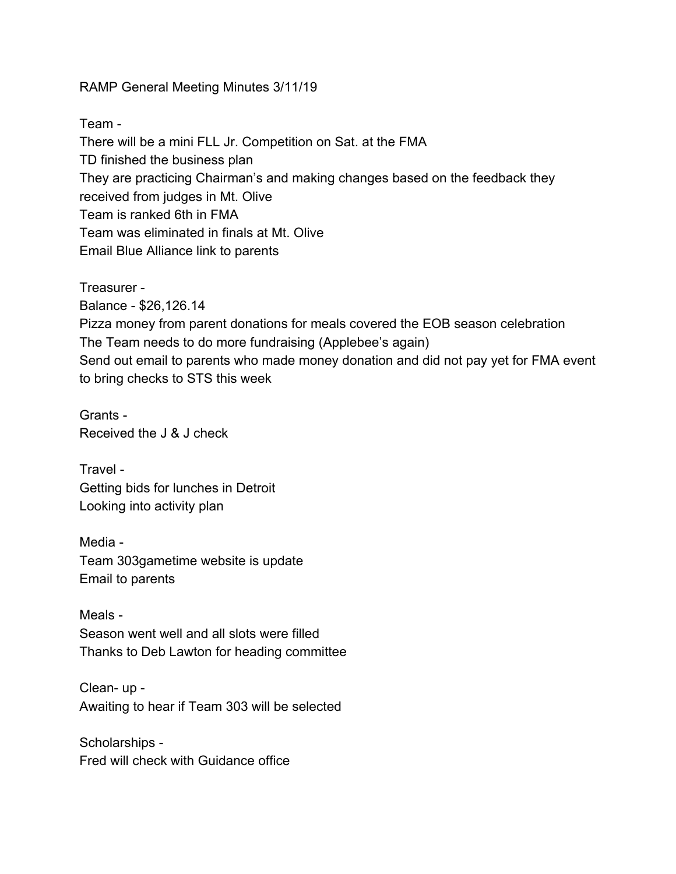RAMP General Meeting Minutes 3/11/19

Team -

There will be a mini FLL Jr. Competition on Sat. at the FMA TD finished the business plan They are practicing Chairman's and making changes based on the feedback they received from judges in Mt. Olive Team is ranked 6th in FMA Team was eliminated in finals at Mt. Olive Email Blue Alliance link to parents

Treasurer - Balance - \$26,126.14 Pizza money from parent donations for meals covered the EOB season celebration The Team needs to do more fundraising (Applebee's again) Send out email to parents who made money donation and did not pay yet for FMA event to bring checks to STS this week

Grants - Received the J & J check

Travel - Getting bids for lunches in Detroit Looking into activity plan

Media - Team 303gametime website is update Email to parents

Meals - Season went well and all slots were filled Thanks to Deb Lawton for heading committee

Clean- up - Awaiting to hear if Team 303 will be selected

Scholarships - Fred will check with Guidance office